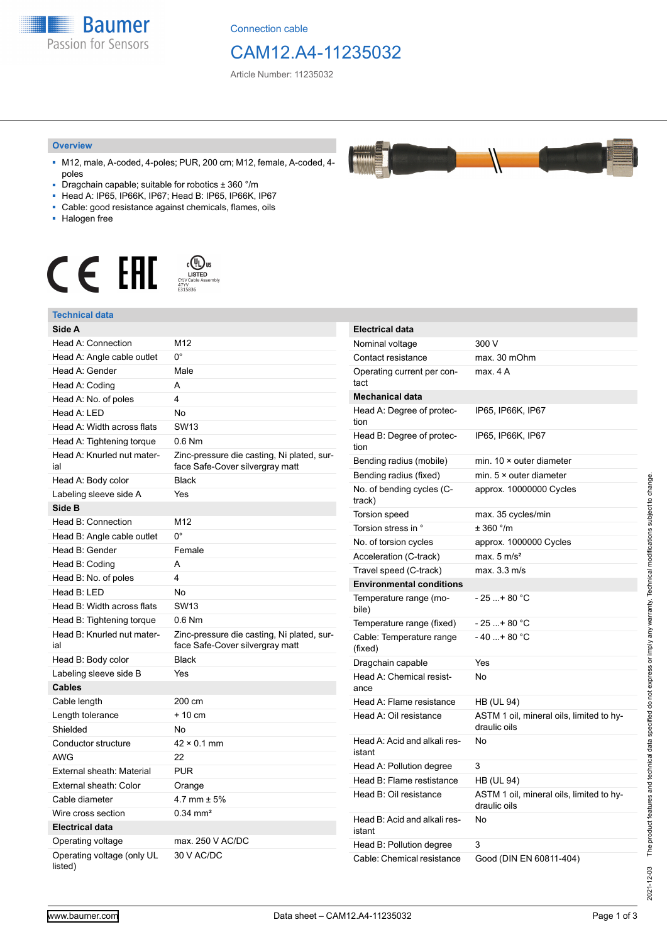**Baumer** Passion for Sensors

Connection cable

## CAM12.A4-11235032

Article Number: 11235032

#### **Overview**

- M12, male, A-coded, 4-poles; PUR, 200 cm; M12, female, A-coded, 4 poles
- Dragchain capable; suitable for robotics ± 360 °/m
- Head A: IP65, IP66K, IP67; Head B: IP65, IP66K, IP67
- Cable: good resistance against chemicals, flames, oils
- Halogen free



### **Technical data**

| Technical data                        |                                                                               |                                     |                                                          |
|---------------------------------------|-------------------------------------------------------------------------------|-------------------------------------|----------------------------------------------------------|
| Side A                                |                                                                               | <b>Electrical data</b>              |                                                          |
| Head A: Connection                    | M12                                                                           | Nominal voltage                     | 300 V                                                    |
| Head A: Angle cable outlet            | $0^{\circ}$                                                                   | Contact resistance                  | max. 30 mOhm                                             |
| Head A: Gender                        | Male                                                                          | Operating current per con-<br>tact  | max. 4A                                                  |
| Head A: Coding                        | A                                                                             |                                     |                                                          |
| Head A: No. of poles                  | 4                                                                             | <b>Mechanical data</b>              |                                                          |
| Head A: LED                           | No                                                                            | Head A: Degree of protec-           | IP65, IP66K, IP67                                        |
| Head A: Width across flats            | <b>SW13</b>                                                                   | tion                                |                                                          |
| Head A: Tightening torque             | 0.6 Nm                                                                        | Head B: Degree of protec-<br>tion   | IP65, IP66K, IP67                                        |
| Head A: Knurled nut mater-<br>ial     | Zinc-pressure die casting, Ni plated, sur-<br>face Safe-Cover silvergray matt | Bending radius (mobile)             | min. $10 \times$ outer diameter                          |
| Head A: Body color                    | <b>Black</b>                                                                  | Bending radius (fixed)              | min. $5 \times$ outer diameter                           |
| Labeling sleeve side A                | Yes                                                                           | No. of bending cycles (C-           | approx. 10000000 Cycles                                  |
| Side B                                |                                                                               | track)                              |                                                          |
| Head B: Connection                    | M12                                                                           | <b>Torsion speed</b>                | max. 35 cycles/min                                       |
| Head B: Angle cable outlet            | $0^{\circ}$                                                                   | Torsion stress in °                 | $± 360$ °/m                                              |
| Head B: Gender                        | Female                                                                        | No. of torsion cycles               | approx. 1000000 Cycles                                   |
| Head B: Coding                        | A                                                                             | Acceleration (C-track)              | max. $5 \text{ m/s}^2$                                   |
| Head B: No. of poles                  | 4                                                                             | Travel speed (C-track)              | max. 3.3 m/s                                             |
| Head B: LED                           | <b>No</b>                                                                     | <b>Environmental conditions</b>     |                                                          |
| Head B: Width across flats            | <b>SW13</b>                                                                   | Temperature range (mo-<br>bile)     | $-25+80 °C$                                              |
| Head B: Tightening torque             | $0.6$ Nm                                                                      | Temperature range (fixed)           | $-25+80 °C$                                              |
| Head B: Knurled nut mater-<br>ial     | Zinc-pressure die casting, Ni plated, sur-<br>face Safe-Cover silvergray matt | Cable: Temperature range<br>(fixed) | $-40+80 °C$                                              |
| Head B: Body color                    | <b>Black</b>                                                                  | Dragchain capable                   | Yes                                                      |
| Labeling sleeve side B                | Yes                                                                           | Head A: Chemical resist-            | No                                                       |
| <b>Cables</b>                         |                                                                               | ance                                |                                                          |
| Cable length                          | 200 cm                                                                        | Head A: Flame resistance            | <b>HB (UL 94)</b>                                        |
| Length tolerance                      | + 10 cm                                                                       | Head A: Oil resistance              | ASTM 1 oil, mineral oils, limited to hy-<br>draulic oils |
| Shielded                              | No                                                                            |                                     |                                                          |
| Conductor structure                   | $42 \times 0.1$ mm                                                            | Head A: Acid and alkali res-        | No                                                       |
| <b>AWG</b>                            | 22                                                                            | istant                              |                                                          |
| External sheath: Material             | <b>PUR</b>                                                                    | Head A: Pollution degree            | 3                                                        |
| External sheath: Color                | Orange                                                                        | Head B: Flame restistance           | <b>HB (UL 94)</b>                                        |
| Cable diameter                        | 4.7 mm $\pm$ 5%                                                               | Head B: Oil resistance              | ASTM 1 oil, mineral oils, limited to hy-<br>draulic oils |
| Wire cross section                    | $0.34 \text{ mm}^2$                                                           | Head B: Acid and alkali res-        | No                                                       |
| <b>Electrical data</b>                |                                                                               | istant                              |                                                          |
| Operating voltage                     | max. 250 V AC/DC                                                              | Head B: Pollution degree            | 3                                                        |
| Operating voltage (only UL<br>listed) | 30 V AC/DC                                                                    | Cable: Chemical resistance          | Good (DIN EN 60811-404)                                  |

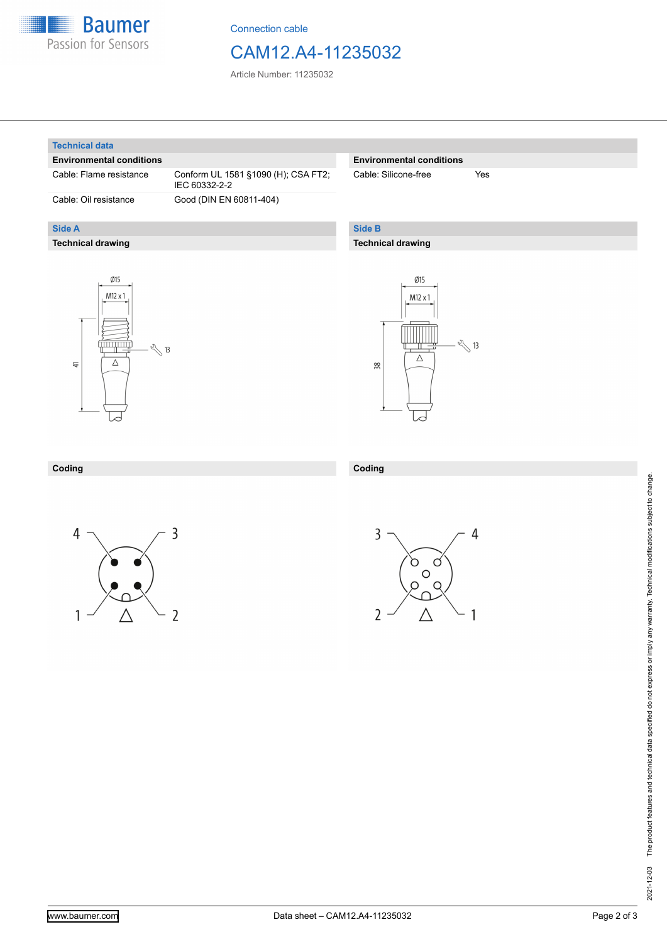

Connection cable

## CAM12.A4-11235032

Article Number: 11235032

#### **Technical data**

**Side A**

### **Environmental conditions**

**Technical drawing**

Cable: Flame resistance Conform UL 1581 §1090 (H); CSA FT2; IEC 60332-2-2 Cable: Oil resistance Good (DIN EN 60811-404)

### **Environmental conditions**

Cable: Silicone-free Yes

## **Side B**

**Coding**

## **Technical drawing**





#### **Coding**